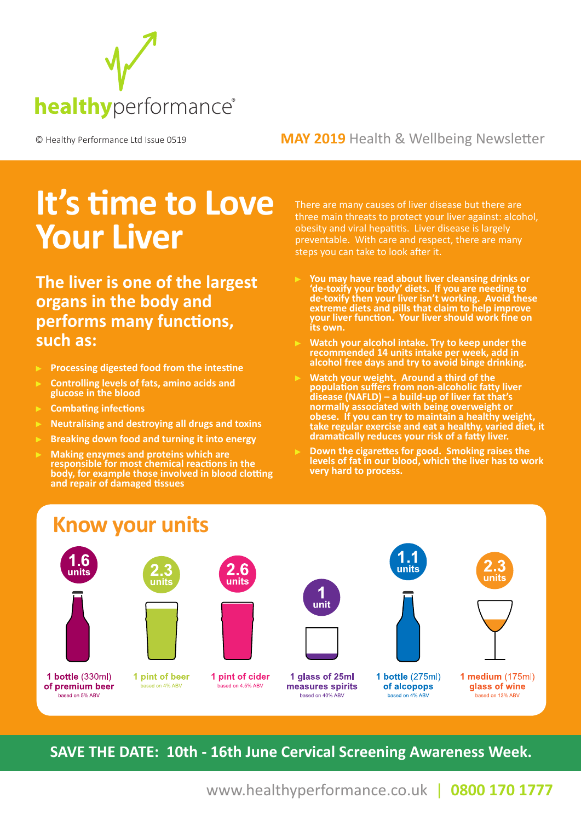

#### © Healthy Performance Ltd Issue 0519 **MAY 2019** Health & Wellbeing Newsletter

# **It's time to Love Your Liver**

**The liver is one of the largest organs in the body and performs many functions, such as:** 

- **Processing digested food from the intestine**
- **Controlling levels of fats, amino acids and glucose in the blood**
- **Combating infections**
- **Neutralising and destroying all drugs and toxins**
- **Breaking down food and turning it into energy**
- **Making enzymes and proteins which are responsible for most chemical reactions in the body, for example those involved in blood clotting and repair of damaged tissues**

There are many causes of liver disease but there are three main threats to protect your liver against: alcohol, obesity and viral hepatitis. Liver disease is largely preventable. With care and respect, there are many steps you can take to look after it.

- **You may have read about liver cleansing drinks or 'de-toxify your body' diets. If you are needing to de-toxify then your liver isn't working. Avoid these extreme diets and pills that claim to help improve your liver function. Your liver should work fine on its own.**
- **Watch your alcohol intake. Try to keep under the recommended 14 units intake per week, add in alcohol free days and try to avoid binge drinking.**
- **Watch your weight. Around a third of the population suffers from non-alcoholic fatty liver disease (NAFLD) – a build-up of liver fat that's normally associated with being overweight or obese. If you can try to maintain a healthy weight, take regular exercise and eat a healthy, varied diet, it dramatically reduces your risk of a fatty liver.**
- **Down the cigarettes for good. Smoking raises the levels of fat in our blood, which the liver has to work very hard to process.**



**SAVE THE DATE: 10th - 16th June Cervical Screening Awareness Week.**